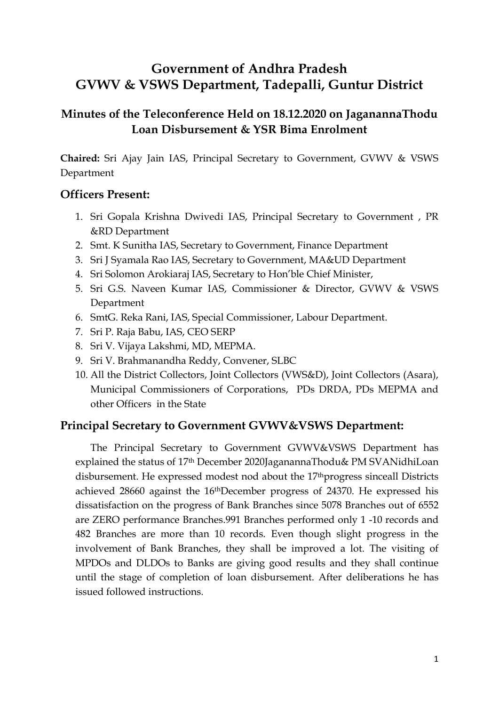# **Government of Andhra Pradesh GVWV & VSWS Department, Tadepalli, Guntur District**

# **Minutes of the Teleconference Held on 18.12.2020 on JaganannaThodu Loan Disbursement & YSR Bima Enrolment**

**Chaired:** Sri Ajay Jain IAS, Principal Secretary to Government, GVWV & VSWS Department

### **Officers Present:**

- 1. Sri Gopala Krishna Dwivedi IAS, Principal Secretary to Government , PR &RD Department
- 2. Smt. K Sunitha IAS, Secretary to Government, Finance Department
- 3. Sri J Syamala Rao IAS, Secretary to Government, MA&UD Department
- 4. Sri Solomon Arokiaraj IAS, Secretary to Hon'ble Chief Minister,
- 5. Sri G.S. Naveen Kumar IAS, Commissioner & Director, GVWV & VSWS Department
- 6. SmtG. Reka Rani, IAS, Special Commissioner, Labour Department.
- 7. Sri P. Raja Babu, IAS, CEO SERP
- 8. Sri V. Vijaya Lakshmi, MD, MEPMA.
- 9. Sri V. Brahmanandha Reddy, Convener, SLBC
- 10. All the District Collectors, Joint Collectors (VWS&D), Joint Collectors (Asara), Municipal Commissioners of Corporations, PDs DRDA, PDs MEPMA and other Officers in the State

### **Principal Secretary to Government GVWV&VSWS Department:**

The Principal Secretary to Government GVWV&VSWS Department has explained the status of 17th December 2020JaganannaThodu& PM SVANidhiLoan disbursement. He expressed modest nod about the 17<sup>th</sup>progress sinceall Districts achieved 28660 against the 16thDecember progress of 24370. He expressed his dissatisfaction on the progress of Bank Branches since 5078 Branches out of 6552 are ZERO performance Branches.991 Branches performed only 1 -10 records and 482 Branches are more than 10 records. Even though slight progress in the involvement of Bank Branches, they shall be improved a lot. The visiting of MPDOs and DLDOs to Banks are giving good results and they shall continue until the stage of completion of loan disbursement. After deliberations he has issued followed instructions.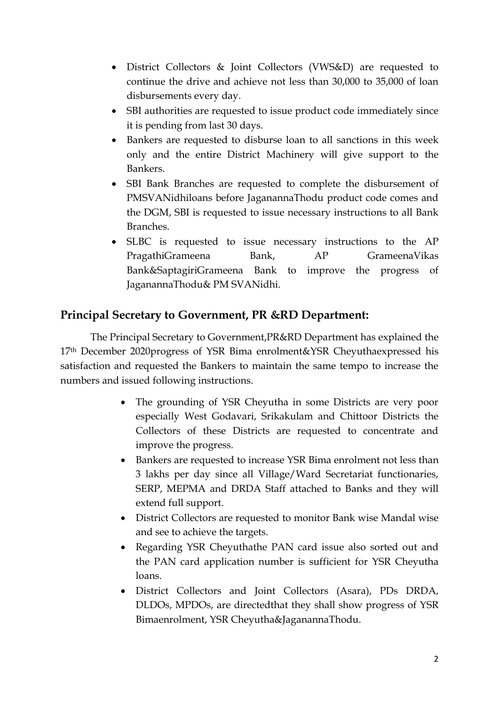- District Collectors & Joint Collectors (VWS&D) are requested to continue the drive and achieve not less than 30,000 to 35,000 of loan disbursements every day.
- SBI authorities are requested to issue product code immediately since it is pending from last 30 days.
- Bankers are requested to disburse loan to all sanctions in this week only and the entire District Machinery will give support to the Bankers.
- SBI Bank Branches are requested to complete the disbursement of PMSVANidhiloans before JaganannaThodu product code comes and the DGM, SBI is requested to issue necessary instructions to all Bank Branches.
- SLBC is requested to issue necessary instructions to the AP PragathiGrameena Bank, AP GrameenaVikas Bank&SaptagiriGrameena Bank to improve the progress of JaganannaThodu& PM SVANidhi.

# **Principal Secretary to Government, PR &RD Department:**

The Principal Secretary to Government,PR&RD Department has explained the 17th December 2020progress of YSR Bima enrolment&YSR Cheyuthaexpressed his satisfaction and requested the Bankers to maintain the same tempo to increase the numbers and issued following instructions.

- The grounding of YSR Cheyutha in some Districts are very poor especially West Godavari, Srikakulam and Chittoor Districts the Collectors of these Districts are requested to concentrate and improve the progress.
- Bankers are requested to increase YSR Bima enrolment not less than 3 lakhs per day since all Village/Ward Secretariat functionaries, SERP, MEPMA and DRDA Staff attached to Banks and they will extend full support.
- District Collectors are requested to monitor Bank wise Mandal wise and see to achieve the targets.
- Regarding YSR Cheyuthathe PAN card issue also sorted out and the PAN card application number is sufficient for YSR Cheyutha loans.
- District Collectors and Joint Collectors (Asara), PDs DRDA, DLDOs, MPDOs, are directedthat they shall show progress of YSR Bimaenrolment, YSR Cheyutha&JaganannaThodu.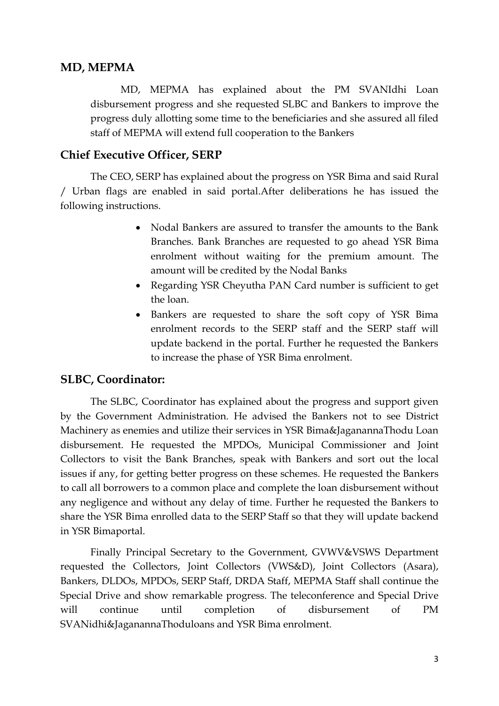### **MD, MEPMA**

MD, MEPMA has explained about the PM SVANIdhi Loan disbursement progress and she requested SLBC and Bankers to improve the progress duly allotting some time to the beneficiaries and she assured all filed staff of MEPMA will extend full cooperation to the Bankers

### **Chief Executive Officer, SERP**

The CEO, SERP has explained about the progress on YSR Bima and said Rural / Urban flags are enabled in said portal.After deliberations he has issued the following instructions.

- Nodal Bankers are assured to transfer the amounts to the Bank Branches. Bank Branches are requested to go ahead YSR Bima enrolment without waiting for the premium amount. The amount will be credited by the Nodal Banks
- Regarding YSR Cheyutha PAN Card number is sufficient to get the loan.
- Bankers are requested to share the soft copy of YSR Bima enrolment records to the SERP staff and the SERP staff will update backend in the portal. Further he requested the Bankers to increase the phase of YSR Bima enrolment.

#### **SLBC, Coordinator:**

The SLBC, Coordinator has explained about the progress and support given by the Government Administration. He advised the Bankers not to see District Machinery as enemies and utilize their services in YSR Bima&JaganannaThodu Loan disbursement. He requested the MPDOs, Municipal Commissioner and Joint Collectors to visit the Bank Branches, speak with Bankers and sort out the local issues if any, for getting better progress on these schemes. He requested the Bankers to call all borrowers to a common place and complete the loan disbursement without any negligence and without any delay of time. Further he requested the Bankers to share the YSR Bima enrolled data to the SERP Staff so that they will update backend in YSR Bimaportal.

Finally Principal Secretary to the Government, GVWV&VSWS Department requested the Collectors, Joint Collectors (VWS&D), Joint Collectors (Asara), Bankers, DLDOs, MPDOs, SERP Staff, DRDA Staff, MEPMA Staff shall continue the Special Drive and show remarkable progress. The teleconference and Special Drive will continue until completion of disbursement of PM SVANidhi&JaganannaThoduloans and YSR Bima enrolment.